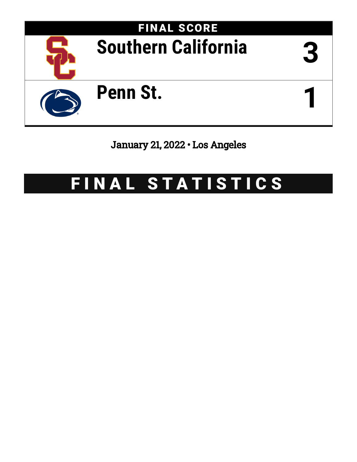

## January 21, 2022 • Los Angeles

# FINAL STATISTICS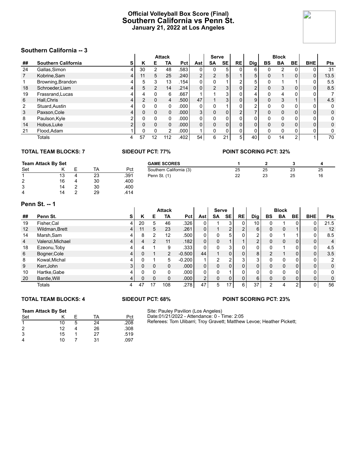#### **Official Volleyball Box Score (Final) Southern California vs Penn St. January 21, 2022 at Los Angeles**



#### **Southern California -- 3**

|                | <b>JUULIIEIII UAIIIUIIIIA -- J</b> |   |               |                |               |                   |                |                |           |                |                |    |                |              |            |            |
|----------------|------------------------------------|---|---------------|----------------|---------------|-------------------|----------------|----------------|-----------|----------------|----------------|----|----------------|--------------|------------|------------|
|                |                                    |   |               |                | <b>Attack</b> |                   |                | <b>Serve</b>   |           |                |                |    | <b>Block</b>   |              |            |            |
| ##             | <b>Southern California</b>         | S | Κ             | Е              | ΤА            | <b>Pct</b>        | Ast            | <b>SA</b>      | <b>SE</b> | <b>RE</b>      | Dig            | BS | <b>BA</b>      | <b>BE</b>    | <b>BHE</b> | <b>Pts</b> |
| 24             | Gallas.Simon                       | 4 | 30            | $\overline{2}$ | 48            | .583              | 0              | 0              | 5         |                | 6              |    | $\overline{2}$ |              | 0          | 31         |
| $\overline{7}$ | Kobrine, Sam                       | 4 | 11            | 5              | 25            | .240              | $\overline{2}$ | $\mathbf{2}$   | 5         |                | 5              | O. |                | $\mathbf{0}$ | 0          | 13.5       |
|                | Browning, Brandon                  | 4 | 5             | 3              | 13            | 154               | 0              | 0              |           | ົ              | 5              |    |                |              | 0          | 5.5        |
| 18             | Schroeder, Liam                    | 4 | 5             | $\overline{2}$ | 14            | .214              | $\overline{0}$ | $\overline{2}$ | 3         | $\mathbf{0}$   | $\overline{2}$ | 0  | 3              | $\mathbf{0}$ | 0          | 8.5        |
| 19             | Frassrand, Lucas                   | 4 | 4             | 0              | 6             | .667              |                |                | 3         | 0              | 4              |    | 4              |              | 0          |            |
| 6              | Hall.Chris                         | 4 | $\mathcal{P}$ | $\mathbf{0}$   | 4             | .500              | 47             |                | 3         | 0              | 9              |    | 3              |              |            | 4.5        |
| 2              | Stuard, Austin                     | 4 | 0             | 0              | $\Omega$      | .000              | $\Omega$       | 0              |           | $\mathbf{0}$   | $\overline{2}$ |    | $\Omega$       | 0            | 0          | 0          |
| 3              | Paxson, Cole                       | 4 | 0             | 0              | 0             | .000 <sub>1</sub> | 3 <sup>1</sup> | 0              | 0         | $\overline{2}$ | $\overline{ }$ |    | $\mathbf 0$    | 0            | 0          | 0          |
| 8              | Paulson, Kyle                      | ◠ | 0             | 0              | $\Omega$      | .000              | 0              | 0              | n         | 0              | 0              |    | $\Omega$       | 0            | 0          | 0          |
| 14             | Hobus, Luke                        |   | $\Omega$      | 0              | $\Omega$      | .000 <sub>1</sub> | 0              | 0              | 0         | 0              | 0              |    | $\mathbf 0$    | 0            | 0          | 0          |
| 21             | Flood, Adam                        |   | 0             | 0              | 2             | .000              |                | 0              | 0         | 0              | $\mathbf{0}$   |    | $\Omega$       | 0            | 0          | 0          |
|                | Totals                             | 4 | 57            | 12             | 112           | .402              | 54             | 6              | 21        | 5              | 40             |    | 14             | 2            |            | 70         |

#### **TOTAL TEAM BLOCKS: 7 SIDEOUT PCT: 77% POINT SCORING PCT: 32%**

| <b>Team Attack By Set</b> |    |   |    |      |  |  |  |  |
|---------------------------|----|---|----|------|--|--|--|--|
| Set                       |    | F | TA | Pct  |  |  |  |  |
| -1                        | 13 |   | 23 | .391 |  |  |  |  |
| 2                         | 16 |   | 30 | .400 |  |  |  |  |
| 3                         | 14 | 2 | 30 | .400 |  |  |  |  |
|                           | 14 | 2 | 29 | 414  |  |  |  |  |

|    |      | <b>GAME SCORES</b>      |    |    |    |    |
|----|------|-------------------------|----|----|----|----|
| ТA | Pct  | Southern California (3) | 25 | 25 | 23 | 25 |
| 23 | .391 | Penn St. (1)            | 22 | 23 | 25 | 16 |
| 30 | .400 |                         |    |    |    |    |
| 30 | .400 |                         |    |    |    |    |
| 29 | .414 |                         |    |    |    |    |

#### **Penn St. -- 1**

|    | .                |   |    |               |               |          |                |              |                |    |                |          |              |    |            |                |
|----|------------------|---|----|---------------|---------------|----------|----------------|--------------|----------------|----|----------------|----------|--------------|----|------------|----------------|
|    |                  |   |    |               | <b>Attack</b> |          |                | <b>Serve</b> |                |    |                |          | <b>Block</b> |    |            |                |
| ## | Penn St.         | s | Κ  | Е             | TA            | Pct      | Ast            | SA           | <b>SE</b>      | RE | <b>Dig</b>     | BS       | <b>BA</b>    | BE | <b>BHE</b> | <b>Pts</b>     |
| 19 | Fisher, Cal      | 4 | 20 | 5             | 46            | .326     | 0              |              | 3              | 0  | 10 I           |          |              | O. | 0          | 21.5           |
| 12 | Wildman, Brett   | 4 | 11 | 5             | 23            | .261     | $\Omega$       |              | $\overline{2}$ | 2  | 6              | 0        | 0            |    | 0          | 12             |
| 14 | Marsh, Sam       | 4 | 8  | 2             | 12            | .500     | 0 <sub>1</sub> |              | 5 <sup>1</sup> | 0  | $\overline{2}$ |          |              |    | 0          | 8.5            |
| 4  | Valenzi, Michael | 4 | 4  | $\mathcal{P}$ | 11            | .182     | $\Omega$       |              |                |    | $\overline{2}$ | $\Omega$ | $\Omega$     | 0  | 0          | 4              |
| 18 | Ezeonu, Toby     | 4 | 4  |               | 9             | .333     | 0              |              | 3              | 0  | 0              | U        |              | 0  | 0          | 4.5            |
| 6  | Bogner, Cole     | 4 |    |               | 2             | $-0.500$ | 44             |              | $\Omega$       | 0  | 8              | 2        |              | 0  | 0          | 3.5            |
| 8  | Kowal, Michal    | 4 | U  |               | 5             | $-0.200$ |                | ົ            | $\sim$         | 3  | 3              |          | 0            | 0  | 0          | $\overline{2}$ |
| 9  | Kerr, John       | 3 | 0  | $\Omega$      | $\Omega$      | .000     | 0              | <sup>n</sup> | $\Omega$       | 0  | 0              | $\Omega$ | 0            | 0  | 0          | $\mathbf 0$    |
| 10 | Hartke, Gabe     | 4 | 0  | $\Omega$      | 0             | .000     | 0              |              |                | 0  | 0              |          | $\Omega$     | 0  | 0          | 0              |
| 20 | Bantle, Will     | 4 | 0  | $\Omega$      | $\Omega$      | .000     | 2 <sub>1</sub> | $\Omega$     | 0              | 0  | 6              | $\Omega$ | $\mathbf 0$  | 0  | 0          | 0              |
|    | Totals           | 4 | 47 | 17            | 108           | .278     | 47             | 5            | 17             | 6  | 37             | 2        |              | 2  | 0          | 56             |

#### **TOTAL TEAM BLOCKS: 4 SIDEOUT PCT: 68% POINT SCORING PCT: 23%**

#### **Team Attack By Set**

| .   |    |   |    |      |
|-----|----|---|----|------|
| Set |    | F | TA | Pct  |
|     | 10 | 5 | 24 | .208 |
| 2   | 12 |   | 26 | .308 |
| 3   | 15 |   | 27 | .519 |
|     | 10 |   | 31 | .097 |

Site: Pauley Pavilion (Los Angeles) Date:01/21/2022 - Attendance: 0 - Time: 2:05 Referees: Tom Ulibarri; Troy Gravett; Matthew Levoe; Heather Pickett;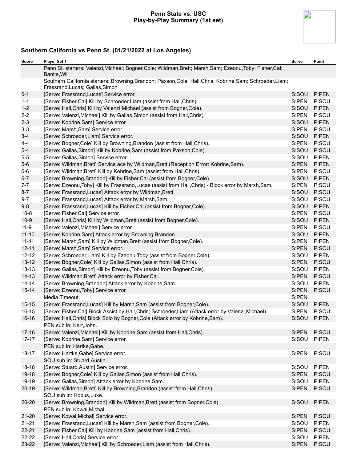#### **Penn State vs. USC Play-by-Play Summary (1st set)**



| Score     | Plays: Set 1                                                                                                                                  | Serve | Point |
|-----------|-----------------------------------------------------------------------------------------------------------------------------------------------|-------|-------|
|           | Penn St. starters: Valenzi, Michael; Bogner, Cole; Wildman, Brett; Marsh, Sam; Ezeonu, Toby; Fisher, Cal;<br>Bantle, Will                     |       |       |
|           | Southern California starters: Browning, Brandon; Paxson, Cole; Hall, Chris; Kobrine, Sam; Schroeder, Liam;<br>Frassrand, Lucas; Gallas, Simon |       |       |
| $0 - 1$   | [Serve: Frassrand, Lucas] Service error.                                                                                                      | S:SOU | P:PEN |
| $1 - 1$   | [Serve: Fisher, Cal] Kill by Schroeder, Liam (assist from Hall, Chris).                                                                       | S:PEN | P:SOU |
| $1 - 2$   | [Serve: Hall, Chris] Kill by Valenzi, Michael (assist from Bogner, Cole).                                                                     | S:SOU | P:PEN |
| $2 - 2$   | [Serve: Valenzi, Michael] Kill by Gallas, Simon (assist from Hall, Chris).                                                                    | S:PEN | P:SOU |
| $2 - 3$   | [Serve: Kobrine, Sam] Service error.                                                                                                          | S:SOU | P:PEN |
| $3 - 3$   | [Serve: Marsh, Sam] Service error.                                                                                                            | S:PEN | P:SOU |
| $3 - 4$   | [Serve: Schroeder, Liam] Service error.                                                                                                       | S:SOU | P:PEN |
| $4 - 4$   | [Serve: Bogner, Cole] Kill by Browning, Brandon (assist from Hall, Chris).                                                                    | S:PEN | P:SOU |
| $5-4$     | [Serve: Gallas, Simon] Kill by Kobrine, Sam (assist from Paxson, Cole).                                                                       | S:SOU | P:SOU |
| $5-5$     | [Serve: Gallas, Simon] Service error.                                                                                                         | S:SOU | P:PEN |
| $5-6$     | [Serve: Wildman, Brett] Service ace by Wildman, Brett (Reception Error: Kobrine, Sam).                                                        | S:PEN | P:PEN |
| $6-6$     | [Serve: Wildman, Brett] Kill by Kobrine, Sam (assist from Hall, Chris).                                                                       | S:PEN | P:SOU |
| $6 - 7$   | [Serve: Browning, Brandon] Kill by Fisher, Cal (assist from Bogner, Cole).                                                                    | S:SOU | P:PEN |
| $7 - 7$   | [Serve: Ezeonu, Toby] Kill by Frassrand, Lucas (assist from Hall, Chris) - Block error by Marsh, Sam.                                         | S:PEN | P:SOU |
| $8 - 7$   | [Serve: Frassrand, Lucas] Attack error by Wildman, Brett.                                                                                     | S:SOU | P:SOU |
| $9 - 7$   | [Serve: Frassrand, Lucas] Attack error by Marsh, Sam.                                                                                         | S:SOU | P:SOU |
| $9 - 8$   | [Serve: Frassrand, Lucas] Kill by Fisher, Cal (assist from Bogner, Cole).                                                                     | S:SOU | P:PEN |
| $10 - 8$  | [Serve: Fisher, Cal] Service error.                                                                                                           | S:PEN | P:SOU |
| $10-9$    | [Serve: Hall, Chris] Kill by Wildman, Brett (assist from Bogner, Cole).                                                                       | S:SOU | P:PEN |
| $11 - 9$  | [Serve: Valenzi, Michael] Service error.                                                                                                      | S:PEN | P:SOU |
| $11 - 10$ | [Serve: Kobrine, Sam] Attack error by Browning, Brandon.                                                                                      | S:SOU | P:PEN |
| $11 - 11$ | [Serve: Marsh, Sam] Kill by Wildman, Brett (assist from Bogner, Cole).                                                                        | S:PEN | P:PEN |
| $12 - 11$ | [Serve: Marsh, Sam] Service error.                                                                                                            | S:PEN | P:SOU |
| $12 - 12$ | [Serve: Schroeder, Liam] Kill by Ezeonu, Toby (assist from Bogner, Cole).                                                                     | S:SOU | P:PEN |
| $13 - 12$ | [Serve: Bogner, Cole] Kill by Gallas, Simon (assist from Hall, Chris).                                                                        | S:PEN | P:SOU |
| $13 - 13$ | [Serve: Gallas, Simon] Kill by Ezeonu, Toby (assist from Bogner, Cole).                                                                       | S:SOU | P:PEN |
| $14 - 13$ | [Serve: Wildman, Brett] Attack error by Fisher, Cal.                                                                                          | S:PEN | P:SOU |
| $14 - 14$ | [Serve: Browning, Brandon] Attack error by Kobrine, Sam.                                                                                      | S:SOU | P:PEN |
| $15 - 14$ | [Serve: Ezeonu, Toby] Service error.                                                                                                          | S:PEN | P:SOU |
|           | Media Timeout.                                                                                                                                | S:PEN |       |
| $15 - 15$ | [Serve: Frassrand, Lucas] Kill by Marsh, Sam (assist from Bogner, Cole).                                                                      | S:SOU | P:PEN |
| $16 - 15$ | [Serve: Fisher, Cal] Block Assist by Hall, Chris; Schroeder, Liam (Attack error by Valenzi, Michael).                                         | S:PEN | P:SOU |
| $16 - 16$ | [Serve: Hall, Chris] Block Solo by Bogner, Cole (Attack error by Kobrine, Sam).                                                               | S:SOU | P:PEN |
|           | PEN sub in: Kerr, John.                                                                                                                       |       |       |
| $17 - 16$ | [Serve: Valenzi, Michael] Kill by Kobrine, Sam (assist from Hall, Chris).                                                                     | S:PEN | P:SOU |
| $17 - 17$ | [Serve: Kobrine, Sam] Service error.                                                                                                          | S:SOU | P:PEN |
|           | PEN sub in: Hartke, Gabe.                                                                                                                     |       |       |
| $18 - 17$ | [Serve: Hartke, Gabe] Service error.                                                                                                          | S:PEN | P:SOU |
|           | SOU sub in: Stuard, Austin.                                                                                                                   |       |       |
| $18-18$   | [Serve: Stuard, Austin] Service error.                                                                                                        | S:SOU | P:PEN |
| 19-18     | [Serve: Bogner, Cole] Kill by Gallas, Simon (assist from Hall, Chris).                                                                        | S:PEN | P:SOU |
| 19-19     | [Serve: Gallas, Simon] Attack error by Kobrine, Sam.                                                                                          | S:SOU | P:PEN |
| $20-19$   | [Serve: Wildman, Brett] Kill by Browning, Brandon (assist from Hall, Chris).                                                                  | S:PEN | P:SOU |
|           | SOU sub in: Hobus, Luke.                                                                                                                      |       |       |
| 20-20     | [Serve: Browning, Brandon] Kill by Wildman, Brett (assist from Bogner, Cole).                                                                 | S:SOU | P:PEN |
|           | PEN sub in: Kowal, Michal.                                                                                                                    |       |       |
| $21 - 20$ | [Serve: Kowal, Michal] Service error.                                                                                                         | S:PEN | P:SOU |
| $21 - 21$ | [Serve: Frassrand, Lucas] Kill by Marsh, Sam (assist from Bogner, Cole).                                                                      | S:SOU | P:PEN |
| $22 - 21$ | [Serve: Fisher, Cal] Kill by Kobrine, Sam (assist from Hall, Chris).                                                                          | S:PEN | P:SOU |
| 22-22     | [Serve: Hall, Chris] Service error.                                                                                                           | S:SOU | P:PEN |
| 23-22     | [Serve: Valenzi, Michael] Kill by Schroeder, Liam (assist from Hall, Chris).                                                                  | S:PEN | P:SOU |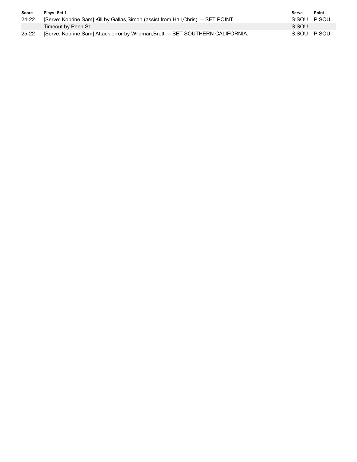| Score     | Plays: Set 1                                                                         | Serve       | Point |
|-----------|--------------------------------------------------------------------------------------|-------------|-------|
| $24 - 22$ | [Serve: Kobrine, Sam] Kill by Gallas, Simon (assist from Hall, Chris). -- SET POINT. | S:SOU P:SOU |       |
|           | Timeout by Penn St                                                                   | S:SOU       |       |
| $25 - 22$ | [Serve: Kobrine, Sam] Attack error by Wildman, Brett. -- SET SOUTHERN CALIFORNIA.    | S:SOU P:SOU |       |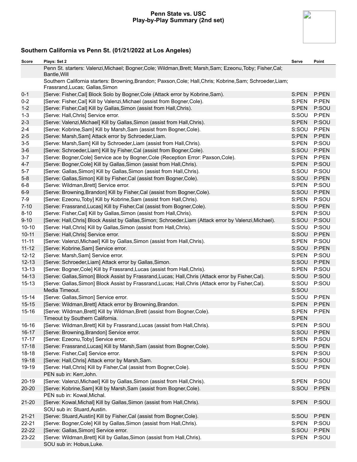#### **Penn State vs. USC Play-by-Play Summary (2nd set)**



| Score     | Plays: Set 2                                                                                                                                  | Serve | Point |
|-----------|-----------------------------------------------------------------------------------------------------------------------------------------------|-------|-------|
|           | Penn St. starters: Valenzi, Michael; Bogner, Cole; Wildman, Brett; Marsh, Sam; Ezeonu, Toby; Fisher, Cal;<br>Bantle, Will                     |       |       |
|           | Southern California starters: Browning, Brandon; Paxson, Cole; Hall, Chris; Kobrine, Sam; Schroeder, Liam;<br>Frassrand, Lucas; Gallas, Simon |       |       |
| $0 - 1$   | [Serve: Fisher, Cal] Block Solo by Bogner, Cole (Attack error by Kobrine, Sam).                                                               | S:PEN | P:PEN |
| $0 - 2$   | [Serve: Fisher, Cal] Kill by Valenzi, Michael (assist from Bogner, Cole).                                                                     | S:PEN | P:PEN |
| $1 - 2$   | [Serve: Fisher, Cal] Kill by Gallas, Simon (assist from Hall, Chris).                                                                         | S:PEN | P:SOU |
| $1 - 3$   | [Serve: Hall, Chris] Service error.                                                                                                           | S:SOU | P:PEN |
| $2 - 3$   | [Serve: Valenzi, Michael] Kill by Gallas, Simon (assist from Hall, Chris).                                                                    | S:PEN | P:SOU |
| $2 - 4$   | [Serve: Kobrine, Sam] Kill by Marsh, Sam (assist from Bogner, Cole).                                                                          | S:SOU | P:PEN |
| $2 - 5$   | [Serve: Marsh, Sam] Attack error by Schroeder, Liam.                                                                                          | S:PEN | P:PEN |
| $3-5$     | [Serve: Marsh, Sam] Kill by Schroeder, Liam (assist from Hall, Chris).                                                                        | S:PEN | P:SOU |
| $3-6$     | [Serve: Schroeder, Liam] Kill by Fisher, Cal (assist from Bogner, Cole).                                                                      | S:SOU | P:PEN |
| $3 - 7$   | [Serve: Bogner, Cole] Service ace by Bogner, Cole (Reception Error: Paxson, Cole).                                                            | S:PEN | P:PEN |
| $4 - 7$   | [Serve: Bogner, Cole] Kill by Gallas, Simon (assist from Hall, Chris).                                                                        | S:PEN | P:SOU |
| $5 - 7$   | [Serve: Gallas, Simon] Kill by Gallas, Simon (assist from Hall, Chris).                                                                       | S:SOU | P:SOU |
| $5-8$     | [Serve: Gallas, Simon] Kill by Fisher, Cal (assist from Bogner, Cole).                                                                        | S:SOU | P:PEN |
| $6-8$     | [Serve: Wildman, Brett] Service error.                                                                                                        | S:PEN | P:SOU |
| $6-9$     | [Serve: Browning, Brandon] Kill by Fisher, Cal (assist from Bogner, Cole).                                                                    | S:SOU | P:PEN |
| $7-9$     | [Serve: Ezeonu, Toby] Kill by Kobrine, Sam (assist from Hall, Chris).                                                                         | S:PEN | P:SOU |
| $7 - 10$  | [Serve: Frassrand, Lucas] Kill by Fisher, Cal (assist from Bogner, Cole).                                                                     | S:SOU | P:PEN |
| $8 - 10$  | [Serve: Fisher, Cal] Kill by Gallas, Simon (assist from Hall, Chris).                                                                         | S:PEN | P:SOU |
| $9 - 10$  | [Serve: Hall, Chris] Block Assist by Gallas, Simon; Schroeder, Liam (Attack error by Valenzi, Michael).                                       | S:SOU | P:SOU |
| $10 - 10$ | [Serve: Hall, Chris] Kill by Gallas, Simon (assist from Hall, Chris).                                                                         | S:SOU | P:SOU |
| $10 - 11$ | [Serve: Hall, Chris] Service error.                                                                                                           | S:SOU | P:PEN |
| $11 - 11$ | [Serve: Valenzi, Michael] Kill by Gallas, Simon (assist from Hall, Chris).                                                                    | S:PEN | P:SOU |
| $11 - 12$ | [Serve: Kobrine, Sam] Service error.                                                                                                          | S:SOU | P:PEN |
| $12 - 12$ | [Serve: Marsh, Sam] Service error.                                                                                                            | S:PEN | P:SOU |
| $12 - 13$ | [Serve: Schroeder, Liam] Attack error by Gallas, Simon.                                                                                       | S:SOU | P:PEN |
| $13 - 13$ | [Serve: Bogner, Cole] Kill by Frassrand, Lucas (assist from Hall, Chris).                                                                     | S:PEN | P:SOU |
| $14 - 13$ | [Serve: Gallas, Simon] Block Assist by Frassrand, Lucas; Hall, Chris (Attack error by Fisher, Cal).                                           | S:SOU | P:SOU |
| 15-13     | [Serve: Gallas, Simon] Block Assist by Frassrand, Lucas; Hall, Chris (Attack error by Fisher, Cal).                                           | S:SOU | P:SOU |
|           | Media Timeout.                                                                                                                                | S:SOU |       |
| $15 - 14$ | [Serve: Gallas, Simon] Service error.                                                                                                         | S:SOU | P:PEN |
| $15 - 15$ | [Serve: Wildman, Brett] Attack error by Browning, Brandon.                                                                                    | S:PEN | P:PEN |
| $15 - 16$ | [Serve: Wildman, Brett] Kill by Wildman, Brett (assist from Bogner, Cole).                                                                    | S:PEN | P:PEN |
|           | Timeout by Southern California.                                                                                                               | S:PEN |       |
| $16 - 16$ | [Serve: Wildman, Brett] Kill by Frassrand, Lucas (assist from Hall, Chris).                                                                   | S:PEN | P:SOU |
| $16 - 17$ | [Serve: Browning, Brandon] Service error.                                                                                                     | S:SOU | P:PEN |
| $17 - 17$ | [Serve: Ezeonu, Toby] Service error.                                                                                                          | S:PEN | P:SOU |
| $17-18$   | [Serve: Frassrand, Lucas] Kill by Marsh, Sam (assist from Bogner, Cole).                                                                      | S:SOU | P:PEN |
| $18 - 18$ | [Serve: Fisher, Cal] Service error.                                                                                                           | S:PEN | P:SOU |
| 19-18     | [Serve: Hall, Chris] Attack error by Marsh, Sam.                                                                                              | S:SOU | P:SOU |
| 19-19     | [Serve: Hall, Chris] Kill by Fisher, Cal (assist from Bogner, Cole).                                                                          | S:SOU | P:PEN |
|           | PEN sub in: Kerr, John.                                                                                                                       |       |       |
| $20 - 19$ | [Serve: Valenzi, Michael] Kill by Gallas, Simon (assist from Hall, Chris).                                                                    | S:PEN | P:SOU |
| 20-20     | [Serve: Kobrine, Sam] Kill by Marsh, Sam (assist from Bogner, Cole).                                                                          | S:SOU | P:PEN |
|           | PEN sub in: Kowal, Michal.                                                                                                                    |       |       |
| $21 - 20$ | [Serve: Kowal, Michal] Kill by Gallas, Simon (assist from Hall, Chris).                                                                       | S:PEN | P:SOU |
|           | SOU sub in: Stuard, Austin.                                                                                                                   |       |       |
| $21 - 21$ | [Serve: Stuard, Austin] Kill by Fisher, Cal (assist from Bogner, Cole).                                                                       | S:SOU | P:PEN |
| $22 - 21$ | [Serve: Bogner, Cole] Kill by Gallas, Simon (assist from Hall, Chris).                                                                        | S:PEN | P:SOU |
| 22-22     |                                                                                                                                               |       |       |
|           | [Serve: Gallas, Simon] Service error.                                                                                                         | S:SOU | P:PEN |
| 23-22     | [Serve: Wildman, Brett] Kill by Gallas, Simon (assist from Hall, Chris).                                                                      | S:PEN | P:SOU |
|           | SOU sub in: Hobus, Luke.                                                                                                                      |       |       |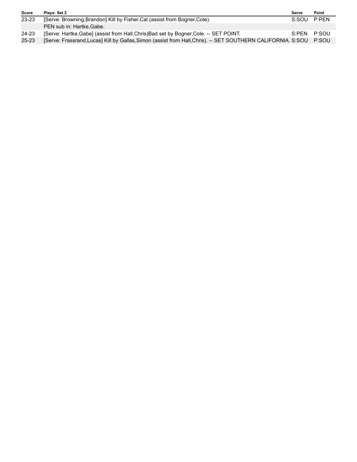| Score     | Plays: Set 2                                                                                                 | Serve    | Point |
|-----------|--------------------------------------------------------------------------------------------------------------|----------|-------|
| $23 - 23$ | [Serve: Browning, Brandon] Kill by Fisher, Cal (assist from Bogner, Cole).                                   | S:SOU    | P:PFN |
|           | PEN sub in: Hartke.Gabe.                                                                                     |          |       |
| 24-23     | [Serve: Hartke, Gabe] (assist from Hall, Chris) Bad set by Bogner, Cole. -- SET POINT.                       | $S$ ·PFN | P:SOU |
| $25 - 23$ | [Serve: Frassrand, Lucas] Kill by Gallas, Simon (assist from Hall, Chris). -- SET SOUTHERN CALIFORNIA. S:SOU |          | P:SOU |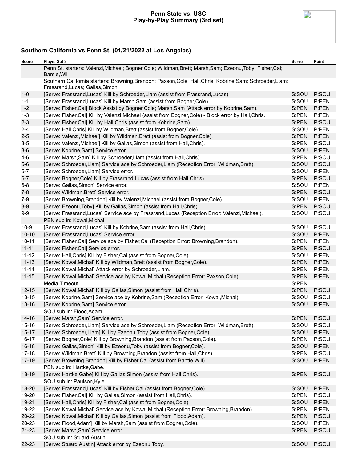#### **Penn State vs. USC Play-by-Play Summary (3rd set)**



| Score     | Plays: Set 3                                                                                                                                  | Serve | Point |
|-----------|-----------------------------------------------------------------------------------------------------------------------------------------------|-------|-------|
|           | Penn St. starters: Valenzi, Michael; Bogner, Cole; Wildman, Brett; Marsh, Sam; Ezeonu, Toby; Fisher, Cal;<br>Bantle, Will                     |       |       |
|           | Southern California starters: Browning, Brandon; Paxson, Cole; Hall, Chris; Kobrine, Sam; Schroeder, Liam;<br>Frassrand, Lucas; Gallas, Simon |       |       |
| $1-0$     | [Serve: Frassrand, Lucas] Kill by Schroeder, Liam (assist from Frassrand, Lucas).                                                             | S:SOU | P:SOU |
| $1 - 1$   | [Serve: Frassrand, Lucas] Kill by Marsh, Sam (assist from Bogner, Cole).                                                                      | S:SOU | P:PEN |
| $1 - 2$   | [Serve: Fisher,Cal] Block Assist by Bogner,Cole; Marsh,Sam (Attack error by Kobrine,Sam).                                                     | S:PEN | P:PEN |
| $1 - 3$   | [Serve: Fisher,Cal] Kill by Valenzi, Michael (assist from Bogner, Cole) - Block error by Hall, Chris.                                         | S:PEN | P:PEN |
| $2 - 3$   | [Serve: Fisher, Cal] Kill by Hall, Chris (assist from Kobrine, Sam).                                                                          | S:PEN | P:SOU |
| $2 - 4$   | [Serve: Hall, Chris] Kill by Wildman, Brett (assist from Bogner, Cole).                                                                       | S:SOU | P:PEN |
| $2 - 5$   | [Serve: Valenzi, Michael] Kill by Wildman, Brett (assist from Bogner, Cole).                                                                  | S:PEN | P:PEN |
| $3-5$     | [Serve: Valenzi, Michael] Kill by Gallas, Simon (assist from Hall, Chris).                                                                    | S:PEN | P:SOU |
| $3-6$     | [Serve: Kobrine, Sam] Service error.                                                                                                          | S:SOU | P:PEN |
| $4 - 6$   | [Serve: Marsh, Sam] Kill by Schroeder, Liam (assist from Hall, Chris).                                                                        | S:PEN | P:SOU |
| $5-6$     | [Serve: Schroeder, Liam] Service ace by Schroeder, Liam (Reception Error: Wildman, Brett).                                                    | S:SOU | P:SOU |
| $5 - 7$   | [Serve: Schroeder, Liam] Service error.                                                                                                       | S:SOU | P:PEN |
| $6 - 7$   | [Serve: Bogner, Cole] Kill by Frassrand, Lucas (assist from Hall, Chris).                                                                     | S:PEN | P:SOU |
| $6-8$     | [Serve: Gallas, Simon] Service error.                                                                                                         | S:SOU | P:PEN |
| $7 - 8$   | [Serve: Wildman, Brett] Service error.                                                                                                        | S:PEN | P:SOU |
| $7-9$     | [Serve: Browning, Brandon] Kill by Valenzi, Michael (assist from Bogner, Cole).                                                               | S:SOU | P:PEN |
| $8-9$     | [Serve: Ezeonu, Toby] Kill by Gallas, Simon (assist from Hall, Chris).                                                                        | S:PEN | P:SOU |
| $9-9$     | [Serve: Frassrand, Lucas] Service ace by Frassrand, Lucas (Reception Error: Valenzi, Michael).                                                | S:SOU | P:SOU |
|           | PEN sub in: Kowal, Michal.                                                                                                                    |       |       |
| $10-9$    | [Serve: Frassrand, Lucas] Kill by Kobrine, Sam (assist from Hall, Chris).                                                                     | S:SOU | P:SOU |
| $10 - 10$ | [Serve: Frassrand, Lucas] Service error.                                                                                                      | S:SOU | P:PEN |
| $10 - 11$ | [Serve: Fisher, Cal] Service ace by Fisher, Cal (Reception Error: Browning, Brandon).                                                         | S:PEN | P:PEN |
| $11 - 11$ | [Serve: Fisher, Cal] Service error.                                                                                                           | S:PEN | P:SOU |
| $11 - 12$ | [Serve: Hall, Chris] Kill by Fisher, Cal (assist from Bogner, Cole).                                                                          | S:SOU | P:PEN |
| $11 - 13$ | [Serve: Kowal, Michal] Kill by Wildman, Brett (assist from Bogner, Cole).                                                                     | S:PEN | P:PEN |
| $11 - 14$ | [Serve: Kowal, Michal] Attack error by Schroeder, Liam.                                                                                       | S:PEN | P:PEN |
| $11 - 15$ | [Serve: Kowal, Michal] Service ace by Kowal, Michal (Reception Error: Paxson, Cole).                                                          | S:PEN | P:PEN |
|           | Media Timeout.                                                                                                                                | S:PEN |       |
| $12 - 15$ | [Serve: Kowal, Michal] Kill by Gallas, Simon (assist from Hall, Chris).                                                                       | S:PEN | P:SOU |
| $13 - 15$ | [Serve: Kobrine, Sam] Service ace by Kobrine, Sam (Reception Error: Kowal, Michal).                                                           | S:SOU | P:SOU |
| 13-16     | [Serve: Kobrine, Sam] Service error.                                                                                                          | S:SOU | P:PEN |
|           | SOU sub in: Flood, Adam.                                                                                                                      |       |       |
| $14 - 16$ | [Serve: Marsh, Sam] Service error.                                                                                                            | S:PEN | P:SOU |
| $15 - 16$ | [Serve: Schroeder, Liam] Service ace by Schroeder, Liam (Reception Error: Wildman, Brett).                                                    | S:SOU | P:SOU |
| $15 - 17$ | [Serve: Schroeder, Liam] Kill by Ezeonu, Toby (assist from Bogner, Cole).                                                                     | S:SOU | P:PEN |
| $16 - 17$ | [Serve: Bogner, Cole] Kill by Browning, Brandon (assist from Paxson, Cole).                                                                   | S:PEN | P:SOU |
| $16 - 18$ | [Serve: Gallas, Simon] Kill by Ezeonu, Toby (assist from Bogner, Cole).                                                                       | S:SOU | P:PEN |
| $17 - 18$ | [Serve: Wildman, Brett] Kill by Browning, Brandon (assist from Hall, Chris).                                                                  | S:PEN | P:SOU |
| $17-19$   | [Serve: Browning, Brandon] Kill by Fisher, Cal (assist from Bantle, Will).<br>PEN sub in: Hartke, Gabe.                                       | S:SOU | P:PEN |
| 18-19     | [Serve: Hartke, Gabe] Kill by Gallas, Simon (assist from Hall, Chris).<br>SOU sub in: Paulson, Kyle.                                          | S:PEN | P:SOU |
| 18-20     | [Serve: Frassrand, Lucas] Kill by Fisher, Cal (assist from Bogner, Cole).                                                                     | S:SOU | P:PEN |
| 19-20     | [Serve: Fisher, Cal] Kill by Gallas, Simon (assist from Hall, Chris).                                                                         | S:PEN | P:SOU |
| 19-21     | [Serve: Hall, Chris] Kill by Fisher, Cal (assist from Bogner, Cole).                                                                          | S:SOU | P:PEN |
| 19-22     | [Serve: Kowal, Michal] Service ace by Kowal, Michal (Reception Error: Browning, Brandon).                                                     | S:PEN | P:PEN |
| $20 - 22$ | [Serve: Kowal, Michal] Kill by Gallas, Simon (assist from Flood, Adam).                                                                       | S:PEN | P:SOU |
| 20-23     | [Serve: Flood, Adam] Kill by Marsh, Sam (assist from Bogner, Cole).                                                                           | S:SOU | P:PEN |
| 21-23     | [Serve: Marsh, Sam] Service error.                                                                                                            | S:PEN | P:SOU |
|           | SOU sub in: Stuard, Austin.                                                                                                                   |       |       |
| 22-23     | [Serve: Stuard, Austin] Attack error by Ezeonu, Toby.                                                                                         | S:SOU | P:SOU |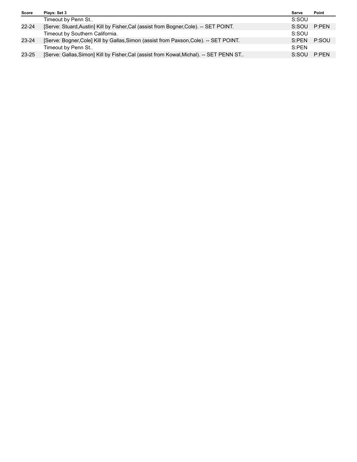| Score     | Plays: Set 3                                                                           | Serve       | Point |
|-----------|----------------------------------------------------------------------------------------|-------------|-------|
|           | Timeout by Penn St                                                                     | S:SOU       |       |
| $22 - 24$ | [Serve: Stuard, Austin] Kill by Fisher, Cal (assist from Bogner, Cole). -- SET POINT.  | S:SOU P:PEN |       |
|           | Timeout by Southern California.                                                        | S:SOU       |       |
| 23-24     | [Serve: Bogner, Cole] Kill by Gallas, Simon (assist from Paxson, Cole). -- SET POINT.  | S:PEN P:SOU |       |
|           | Timeout by Penn St                                                                     | S:PFN       |       |
| $23 - 25$ | [Serve: Gallas, Simon] Kill by Fisher, Cal (assist from Kowal, Michal). -- SET PENN ST | S:SOU P:PEN |       |